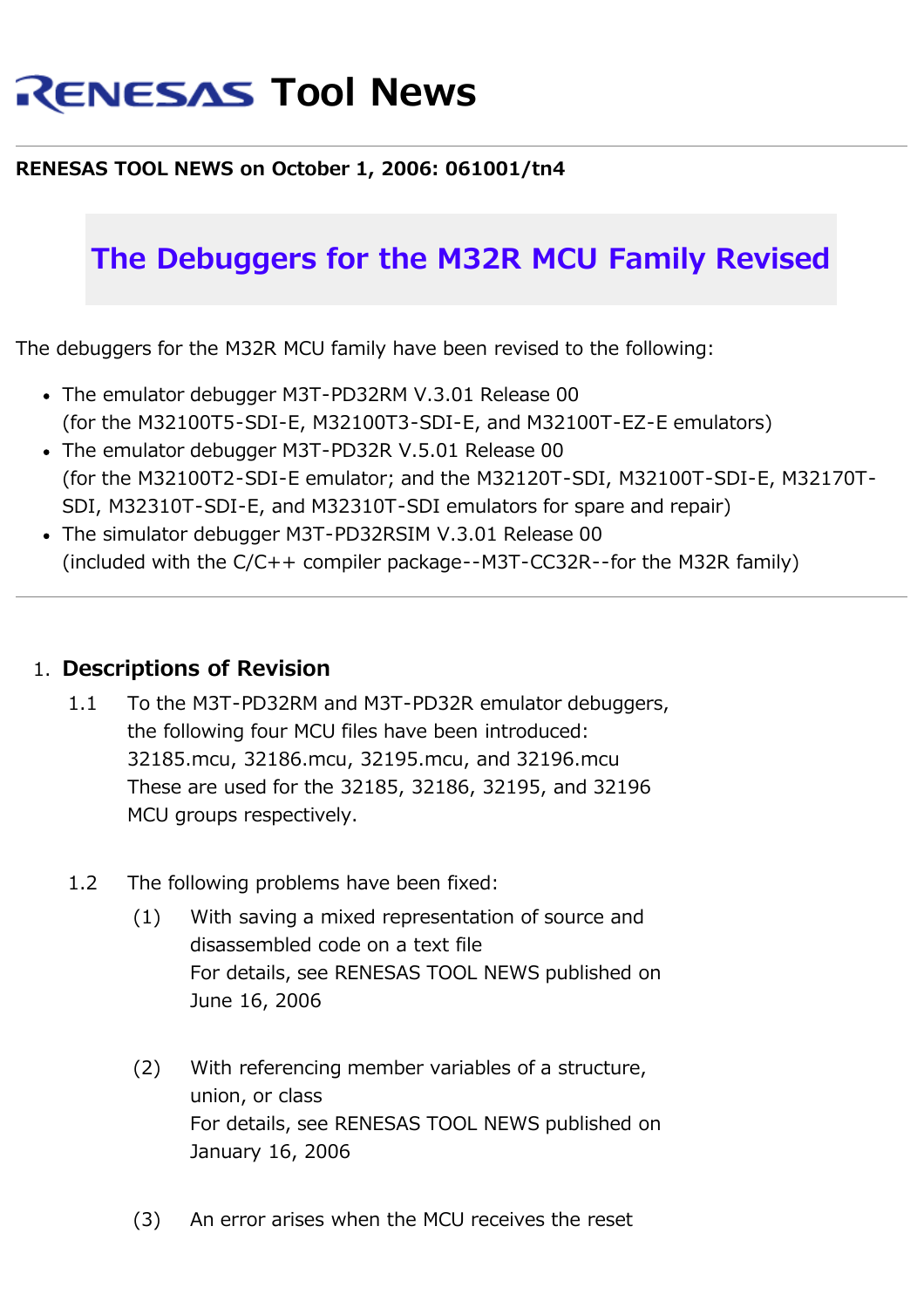# **RENESAS Tool News**

### **RENESAS TOOL NEWS on October 1, 2006: 061001/tn4**

## **The Debuggers for the M32R MCU Family Revised**

The debuggers for the M32R MCU family have been revised to the following:

- The emulator debugger M3T-PD32RM V.3.01 Release 00 (for the M32100T5-SDI-E, M32100T3-SDI-E, and M32100T-EZ-E emulators)
- The emulator debugger M3T-PD32R V.5.01 Release 00 (for the M32100T2-SDI-E emulator; and the M32120T-SDI, M32100T-SDI-E, M32170T-SDI, M32310T-SDI-E, and M32310T-SDI emulators for spare and repair)
- The simulator debugger M3T-PD32RSIM V.3.01 Release 00 (included with the C/C++ compiler package--M3T-CC32R--for the M32R family)

### 1. **Descriptions of Revision**

- 1.1 To the M3T-PD32RM and M3T-PD32R emulator debuggers, the following four MCU files have been introduced: 32185.mcu, 32186.mcu, 32195.mcu, and 32196.mcu These are used for the 32185, 32186, 32195, and 32196 MCU groups respectively.
- 1.2 The following problems have been fixed:
	- (1) With saving a mixed representation of source and disassembled code on a text file For details, see RENESAS TOOL NEWS published on June 16, 2006
	- (2) With referencing member variables of a structure, union, or class For details, see RENESAS TOOL NEWS published on January 16, 2006
	- (3) An error arises when the MCU receives the reset